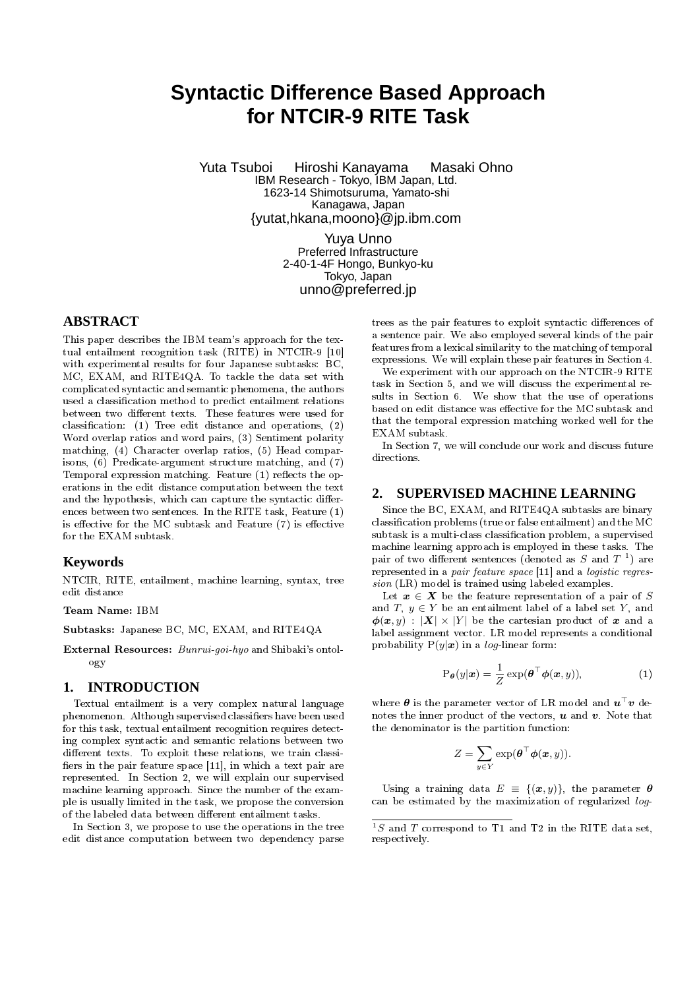# **Syntactic Difference Based Approach for NTCIR-9 RITE Task**

Yuta Tsuboi Hiroshi Kanayama Masaki Ohno IBM Research - Tokyo, IBM Japan, Ltd. 1623-14 Shimotsuruma, Yamato-shi Kanagawa, Japan {yutat,hkana,moono}@jp.ibm.com

> Yuya Unno Preferred Infrastructure 2-40-1-4F Hongo, Bunkyo-ku Tokyo, Japan unno@preferred.jp

# **ABSTRACT**

This paper describes the IBM team's approach for the textual entailment recognition task (RITE) in NTCIR-9 [10] with experimental results for four Japanese subtasks: BC, MC, EXAM, and RITE4QA. To tackle the data set with complicated syntactic and semantic phenomena, the authors used a classification method to predict entailment relations between two different texts. These features were used for classification: (1) Tree edit distance and operations,  $(2)$ Word overlap ratios and word pairs, (3) Sentiment polarity matching, (4) Character overlap ratios, (5) Head comparisons, (6) Predicate-argument structure matching, and (7) Temporal expression matching. Feature  $(1)$  reflects the operations in the edit distance computation between the text and the hypothesis, which can capture the syntactic differences between two sentences. In the RITE task, Feature (1) is effective for the MC subtask and Feature  $(7)$  is effective for the EXAM subtask.

## **Keywords**

NTCIR, RITE, entailment, machine learning, syntax, tree edit distance

### **Team Name:** IBM

**Subtasks:** Japanese BC, MC, EXAM, and RITE4QA

**External Resources:** *Bunrui-goi-hyo* and Shibaki's ontology

# **1. INTRODUCTION**

Textual entailment is a very complex natural language phenomenon. Although supervised classifiers have been used for this task, textual entailment recognition requires detecting complex syntactic and semantic relations between two different texts. To exploit these relations, we train classifiers in the pair feature space [11], in which a text pair are represented. In Section 2, we will explain our supervised machine learning approach. Since the number of the example is usually limited in the task, we propose the conversion of the labeled data between different entailment tasks.

In Section 3, we propose to use the operations in the tree edit distance computation between two dependency parse

trees as the pair features to exploit syntactic differences of a sentence pair. We also employed several kinds of the pair features from a lexical similarity to the matching of temporal expressions. We will explain these pair features in Section 4.

We experiment with our approach on the NTCIR-9 RITE task in Section 5, and we will discuss the experimental results in Section 6. We show that the use of operations based on edit distance was effective for the MC subtask and that the temporal expression matching worked well for the EXAM subtask.

In Section 7, we will conclude our work and discuss future directions.

# **2. SUPERVISED MACHINE LEARNING**

Since the BC, EXAM, and RITE4QA subtasks are binary classification problems (true or false entailment) and the  $\rm MC$ subtask is a multi-class classification problem, a supervised machine learning approach is employed in these tasks. The pair of two different sentences (denoted as  $S$  and  $T^{-1}$ ) are represented in a *pair feature space* [11] and a *logistic regression* (LR) model is trained using labeled examples.

Let  $x \in X$  be the feature representation of a pair of *S* and  $T, y \in Y$  be an entailment label of a label set Y, and  $\phi(\mathbf{x}, y) : |\mathbf{X}| \times |Y|$  be the cartesian product of x and a label assignment vector. LR model represents a conditional probability  $P(y|x)$  in a *log*-linear form:

$$
P_{\theta}(y|\boldsymbol{x}) = \frac{1}{Z} \exp(\boldsymbol{\theta}^{\top} \boldsymbol{\phi}(\boldsymbol{x}, y)), \qquad (1)
$$

where θ is the parameter vector of LR model and u *<sup>⊤</sup>*v denotes the inner product of the vectors,  $\boldsymbol{u}$  and  $\boldsymbol{v}$ . Note that the denominator is the partition function:

$$
Z = \sum_{y \in Y} \exp(\boldsymbol{\theta}^\top \boldsymbol{\phi}(\boldsymbol{x}, y)).
$$

Using a training data  $E = \{(\boldsymbol{x}, y)\}\$ , the parameter  $\boldsymbol{\theta}$ can be estimated by the maximization of regularized *log*-

 $1S$  and *T* correspond to T1 and T2 in the RITE data set, respectively.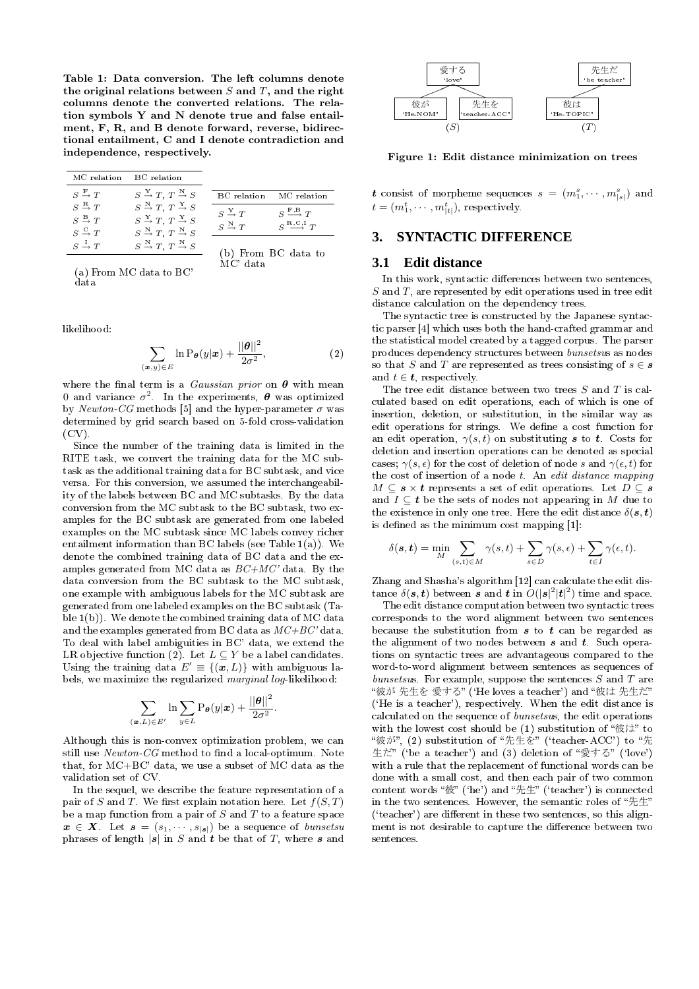**Table 1: Data conversion. The left columns denote the original relations between** *S* **and** *T***, and the right columns denote the converted relations. The relation symbols Y and N denote true and false entailment, F, R, and B denote forward, reverse, bidirectional entailment, C and I denote contradiction and independence, respectively.**

| MC relation                                                                     | BC relation                                                                                                                |                                        |                                              |
|---------------------------------------------------------------------------------|----------------------------------------------------------------------------------------------------------------------------|----------------------------------------|----------------------------------------------|
| $S \stackrel{F}{\rightarrow} T$                                                 | $S \stackrel{Y}{\rightarrow} T$ , $T \stackrel{N}{\rightarrow} S$                                                          | BC relation                            | MC relation                                  |
| $S \stackrel{\rm R}{\rightarrow} T$<br>$S \stackrel{\mathbf{B}}{\rightarrow} T$ | $S \stackrel{\text{N}}{\rightarrow} T, T \stackrel{\text{Y}}{\rightarrow} S$<br>$S \xrightarrow{Y} T, T \xrightarrow{Y} S$ | $S \stackrel{\rm Y}{\rightarrow} T$    | $S \stackrel{\text{F,B}}{\longrightarrow} T$ |
| $S \stackrel{C}{\rightarrow} T$                                                 | $S \stackrel{\text{N}}{\rightarrow} T, T \stackrel{\text{N}}{\rightarrow} S$                                               | $S \stackrel{\text{N}}{\rightarrow} T$ | $S^{R,C,I}T$                                 |
| $S \stackrel{I}{\rightarrow} T$                                                 | $S \stackrel{\text{N}}{\rightarrow} T, T \stackrel{\text{N}}{\rightarrow} S$                                               |                                        | (b) From BC data to                          |

(a) From MC data to BC' data

likelihood:

$$
\sum_{(\mathbf{x},y)\in E} \ln \mathrm{P}_{\boldsymbol{\theta}}(y|\mathbf{x}) + \frac{||\boldsymbol{\theta}||^2}{2\sigma^2},\tag{2}
$$

MC' data

where the final term is a *Gaussian prior* on  $\theta$  with mean 0 and variance  $\sigma^2$ . In the experiments,  $\boldsymbol{\theta}$  was optimized by  $Newton\text{-}CG$  methods [5] and the hyper-parameter  $\sigma$  was determined by grid search based on 5-fold cross-validation  $(CV)$ .

Since the number of the training data is limited in the RITE task, we convert the training data for the MC subtask as the additional training data for BC subtask, and vice versa. For this conversion, we assumed the interchangeability of the labels between BC and MC subtasks. By the data conversion from the MC subtask to the BC subtask, two examples for the BC subtask are generated from one labeled examples on the MC subtask since MC labels convey richer entailment information than BC labels (see Table 1(a)). We denote the combined training data of BC data and the examples generated from MC data as *BC+MC'* data. By the data conversion from the BC subtask to the MC subtask, one example with ambiguous labels for the MC subtask are generated from one labeled examples on the BC subtask (Table 1(b)). We denote the combined training data of MC data and the examples generated from BC data as *MC+BC'* data. To deal with label ambiguities in BC' data, we extend the LR objective function (2). Let  $L \subseteq Y$  be a label candidates. Using the training data  $E' \equiv \{(\boldsymbol{x}, L)\}\$  with ambiguous labels, we maximize the regularized *marginal log*-likelihood:

$$
\sum_{(\mathbf{x},L)\in E'} \ln \sum_{y\in L} \mathrm{P}_{\boldsymbol{\theta}}(y|\mathbf{x}) + \frac{||\boldsymbol{\theta}||^2}{2\sigma^2}
$$

*.*

Although this is non-convex optimization problem, we can still use *Newton-CG* method to find a local-optimum. Note that, for MC+BC' data, we use a subset of MC data as the validation set of CV.

In the sequel, we describe the feature representation of a pair of *S* and *T*. We first explain notation here. Let  $f(S,T)$ be a map function from a pair of *S* and *T* to a feature space  $\boldsymbol{x} \in \boldsymbol{X}$ . Let  $\boldsymbol{s} = (s_1, \cdots, s_{|\boldsymbol{s}|})$  be a sequence of *bunsetsu* phrases of length  $|\mathbf{s}|$  in *S* and **t** be that of *T*, where **s** and



**Figure 1: Edit distance minimization on trees**

**t** consist of morpheme sequences  $s = (m_1^s, \cdots, m_{|s|}^s)$  and  $t = (m_1^t, \cdots, m_{|t|}^t)$ , respectively.

# **3. SYNTACTIC DIFFERENCE**

## **3.1 Edit distance**

In this work, syntactic differences between two sentences, *S* and *T*, are represented by edit operations used in tree edit distance calculation on the dependency trees.

The syntactic tree is constructed by the Japanese syntactic parser [4] which uses both the hand-crafted grammar and the statistical model created by a tagged corpus. The parser produces dependency structures between *bunsetsu*s as nodes so that *S* and *T* are represented as trees consisting of  $s \in \mathbf{s}$ and  $t \in \mathbf{t}$ , respectively.

The tree edit distance between two trees *S* and *T* is calculated based on edit operations, each of which is one of insertion, deletion, or substitution, in the similar way as edit operations for strings. We define a cost function for an edit operation,  $\gamma(s,t)$  on substituting s to t. Costs for deletion and insertion operations can be denoted as special cases;  $\gamma(s, \epsilon)$  for the cost of deletion of node *s* and  $\gamma(\epsilon, t)$  for the cost of insertion of a node *t*. An *edit distance mapping*  $M \subseteq s \times t$  represents a set of edit operations. Let  $D \subseteq s$ and  $I \subseteq t$  be the sets of nodes not appearing in *M* due to the existence in only one tree. Here the edit distance  $\delta(s,t)$ is defined as the minimum cost mapping [1]:

$$
\delta(\mathbf{s}, \mathbf{t}) = \min_{M} \sum_{(s,t) \in M} \gamma(s,t) + \sum_{s \in D} \gamma(s,\epsilon) + \sum_{t \in I} \gamma(\epsilon,t).
$$

Zhang and Shasha's algorithm [12] can calculate the edit distance  $\delta(\mathbf{s}, \mathbf{t})$  between  $\mathbf{s}$  and  $\mathbf{t}$  in  $O(|\mathbf{s}|^2|\mathbf{t}|^2)$  time and space.

The edit distance computation between two syntactic trees corresponds to the word alignment between two sentences because the substitution from  $s$  to  $t$  can be regarded as the alignment of two nodes between  $s$  and  $t$ . Such operations on syntactic trees are advantageous compared to the word-to-word alignment between sentences as sequences of *bunsetsu*s. For example, suppose the sentences *S* and *T* are "彼が 先生を 愛する" ('He loves a teacher') and "彼は 先生だ" (`He is a teacher'), respectively. When the edit distance is calculated on the sequence of *bunsetsu*s, the edit operations with the lowest cost should be  $(1)$  substitution of "彼は" to "彼が" (2) substitution of "先生を" ('teacher-ACC') to "先 生だ" ('be a teacher') and (3) deletion of "愛する" ('love') with a rule that the replacement of functional words can be done with a small cost, and then each pair of two common content words " $\mathcal{R}$ " ('he') and " $\mathcal{R}$  $\mathcal{L}$ " ('teacher') is connected in the two sentences. However, the semantic roles of "先生"  $('teacher')$  are different in these two sentences, so this alignment is not desirable to capture the difference between two sentences.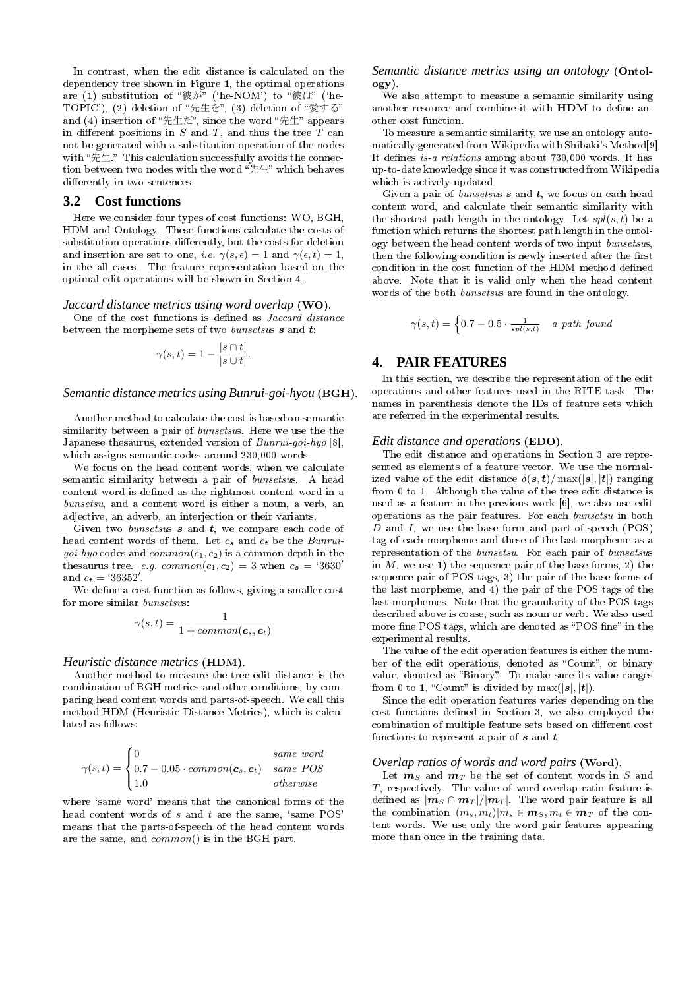In contrast, when the edit distance is calculated on the dependency tree shown in Figure 1, the optimal operations are (1) substitution of "彼が" ('he-NOM') to "彼は" ('he-TOPIC'), (2) deletion of "先生を", (3) deletion of "愛する" and (4) insertion of "先生だ", since the word "先生" appears in different positions in  $S$  and  $T$ , and thus the tree  $T$  can not be generated with a substitution operation of the nodes with "先生." This calculation successfully avoids the connection between two nodes with the word "先生" which behaves differently in two sentences.

#### **3.2 Cost functions**

Here we consider four types of cost functions: WO, BGH, HDM and Ontology. These functions calculate the costs of substitution operations differently, but the costs for deletion and insertion are set to one, *i.e.*  $\gamma(s, \epsilon) = 1$  and  $\gamma(\epsilon, t) = 1$ , in the all cases. The feature representation based on the optimal edit operations will be shown in Section 4.

#### *Jaccard distance metrics using word overlap* **(WO)***.*

One of the cost functions is dened as *Jaccard distance* between the morpheme sets of two *bunsetsus* **s** and **t**:

$$
\gamma(s,t) = 1 - \frac{|s \cap t|}{|s \cup t|}.
$$

#### *Semantic distance metrics using Bunrui-goi-hyou* **(BGH)***.*

Another method to calculate the cost is based on semantic similarity between a pair of *bunsetsu*s. Here we use the the Japanese thesaurus, extended version of *Bunrui-goi-hyo* [8], which assigns semantic codes around 230,000 words.

We focus on the head content words, when we calculate semantic similarity between a pair of *bunsetsu*s. A head content word is defined as the rightmost content word in a *bunsetsu*, and a content word is either a noun, a verb, an adjective, an adverb, an interjection or their variants.

Given two *bunsetsus* s and t, we compare each code of head content words of them. Let *c*<sup>s</sup> and *c*<sup>t</sup> be the *Bunruigoi-hyo* codes and  $common(c_1, c_2)$  is a common depth in the thesaurus tree. *e.g.*  $common(c_1, c_2) = 3$  when  $c_s = '3630'$ and  $c_{t} = 36352'$ .

We define a cost function as follows, giving a smaller cost for more similar *bunsetsu*s:

$$
\gamma(s,t) = \frac{1}{1 + common(\textbf{c}_s, \textbf{c}_t)}
$$

#### *Heuristic distance metrics* **(HDM)***.*

Another method to measure the tree edit distance is the combination of BGH metrics and other conditions, by comparing head content words and parts-of-speech. We call this method HDM (Heuristic Distance Metrics), which is calculated as follows:

$$
\gamma(s,t) = \begin{cases} 0 & \text{same word} \\ 0.7 - 0.05 \cdot \text{common}(\mathbf{c}_s, \mathbf{c}_t) & \text{same POS} \\ 1.0 & \text{otherwise} \end{cases}
$$

where 'same word' means that the canonical forms of the head content words of *s* and *t* are the same, 'same POS' means that the parts-of-speech of the head content words are the same, and *common*() is in the BGH part.

## *Semantic distance metrics using an ontology* **(Ontology)***.*

We also attempt to measure a semantic similarity using another resource and combine it with **HDM** to define another cost function.

To measure a semantic similarity, we use an ontology automatically generated from Wikipedia with Shibaki's Method[9]. It defines *is-a relations* among about 730,000 words. It has up-to-date knowledge since it was constructed from Wikipedia which is actively updated.

Given a pair of *bunsetsus* s and t, we focus on each head content word, and calculate their semantic similarity with the shortest path length in the ontology. Let *spl*(*s, t*) be a function which returns the shortest path length in the ontology between the head content words of two input *bunsetsu*s, then the following condition is newly inserted after the first condition in the cost function of the HDM method dened above. Note that it is valid only when the head content words of the both *bunsetsu*s are found in the ontology.

$$
\gamma(s,t) = \begin{cases} 0.7 - 0.5 \cdot \frac{1}{spl(s,t)} & a \ path \ found \end{cases}
$$

## **4. PAIR FEATURES**

In this section, we describe the representation of the edit operations and other features used in the RITE task. The names in parenthesis denote the IDs of feature sets which are referred in the experimental results.

#### *Edit distance and operations* **(EDO)***.*

The edit distance and operations in Section 3 are represented as elements of a feature vector. We use the normalized value of the edit distance  $\delta(\mathbf{s}, \mathbf{t}) / \max(|\mathbf{s}|, |\mathbf{t}|)$  ranging from 0 to 1. Although the value of the tree edit distance is used as a feature in the previous work [6], we also use edit operations as the pair features. For each *bunsetsu* in both *D* and *I*, we use the base form and part-of-speech (POS) tag of each morpheme and these of the last morpheme as a representation of the *bunsetsu*. For each pair of *bunsetsu*s in *M*, we use 1) the sequence pair of the base forms, 2) the sequence pair of POS tags, 3) the pair of the base forms of the last morpheme, and 4) the pair of the POS tags of the last morphemes. Note that the granularity of the POS tags described above is coase, such as noun or verb. We also used more fine POS tags, which are denoted as "POS fine" in the experimental results.

The value of the edit operation features is either the number of the edit operations, denoted as "Count", or binary value, denoted as "Binary". To make sure its value ranges from 0 to 1, "Count" is divided by  $max(|s|, |t|)$ .

Since the edit operation features varies depending on the cost functions defined in Section 3, we also employed the combination of multiple feature sets based on different cost functions to represent a pair of  $s$  and  $t$ .

#### *Overlap ratios of words and word pairs* **(Word)***.*

Let m*<sup>S</sup>* and m*<sup>T</sup>* be the set of content words in *S* and *T*, respectively. The value of word overlap ratio feature is defined as  $|m_S \cap m_T|/|m_T|$ . The word pair feature is all the combination  $(m_s, m_t)|m_s \in \mathbf{m}_S, m_t \in \mathbf{m}_T$  of the content words. We use only the word pair features appearing more than once in the training data.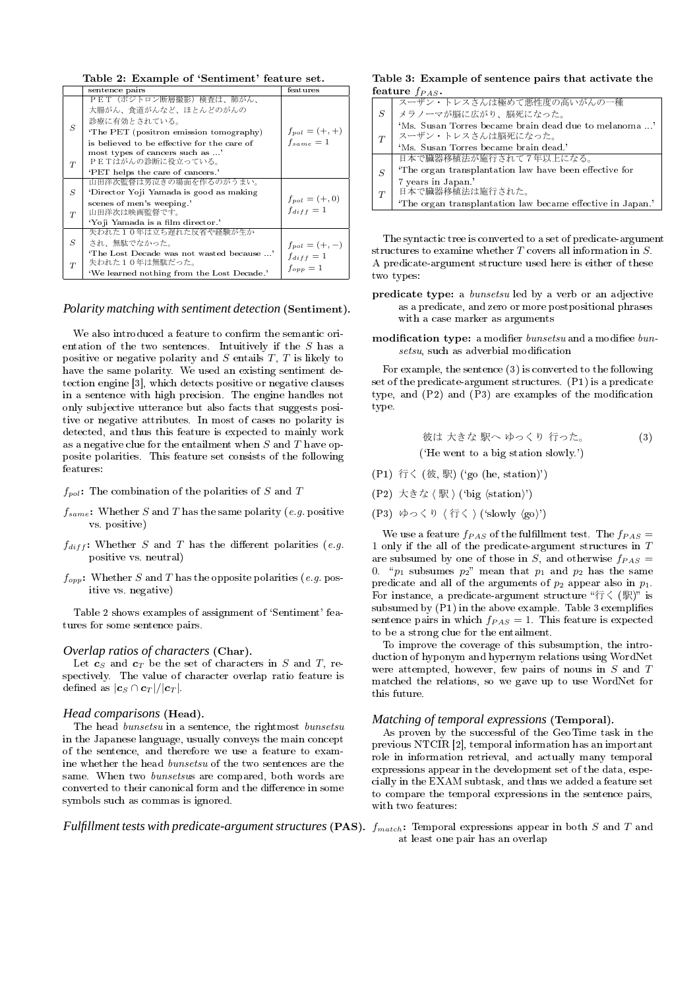**Table 2: Example of 'Sentiment' feature set.**

|                  | sentence pairs                                              | features           |
|------------------|-------------------------------------------------------------|--------------------|
|                  | PET(ポジトロン断層撮影)検査は、肺がん、<br>大腸がん、食道がんなど、ほとんどのがんの              |                    |
| S                | 診療に有効とされている。                                                |                    |
|                  | 'The PET (positron emission tomography)                     | $f_{pol} = (+, +)$ |
|                  | is believed to be effective for the care of                 | $f_{same} = 1$     |
| T                | most types of cancers such as '<br>PETはがんの診断に役立っている。        |                    |
|                  | 'PET helps the care of cancers.'                            |                    |
|                  | 山田洋次監督は男泣きの場面を作るのがうまい。                                      |                    |
| $\boldsymbol{S}$ | 'Director Yoji Yamada is good as making                     | $f_{pol} = (+, 0)$ |
| T                | scenes of men's weeping.'<br>山田洋次は映画監督です。                   | $f_{diff} = 1$     |
|                  | 'Yoji Yamada is a film director.'                           |                    |
|                  | 失われた10年は立ち遅れた反省や経験が生か                                       |                    |
| S                | され、無駄でなかった。                                                 | $f_{pol} = (+,-)$  |
|                  | 'The Lost Decade was not wasted because '<br>失われた10年は無駄だった。 | $f_{diff} = 1$     |
| T                | 'We learned nothing from the Lost Decade.'                  | $f_{opp} = 1$      |

#### *Polarity matching with sentiment detection* **(Sentiment)***.*

We also introduced a feature to confirm the semantic orientation of the two sentences. Intuitively if the *S* has a positive or negative polarity and *S* entails *T*, *T* is likely to have the same polarity. We used an existing sentiment detection engine [3], which detects positive or negative clauses in a sentence with high precision. The engine handles not only subjective utterance but also facts that suggests positive or negative attributes. In most of cases no polarity is detected, and thus this feature is expected to mainly work as a negative clue for the entailment when *S* and *T* have opposite polarities. This feature set consists of the following features:

*fpol***:** The combination of the polarities of *S* and *T*

- $f_{same}$ : Whether *S* and *T* has the same polarity (*e.g.* positive vs. positive)
- $f_{diff}$ : Whether *S* and *T* has the different polarities (*e.g.* positive vs. neutral)
- $f_{opp}$ : Whether *S* and *T* has the opposite polarities (*e.g.* positive vs. negative)

Table 2 shows examples of assignment of 'Sentiment' features for some sentence pairs.

#### *Overlap ratios of characters* **(Char)***.*

Let  $c_S$  and  $c_T$  be the set of characters in *S* and *T*, respectively. The value of character overlap ratio feature is defined as  $|c_S \cap c_T|/|c_T|$ .

#### *Head comparisons* **(Head)***.*

The head *bunsetsu* in a sentence, the rightmost *bunsetsu* in the Japanese language, usually conveys the main concept of the sentence, and therefore we use a feature to examine whether the head *bunsetsu* of the two sentences are the same. When two *bunsetsu*s are compared, both words are converted to their canonical form and the difference in some symbols such as commas is ignored.

# *Fulfillment tests with predicate-argument structures* **(PAS)***. fmatch***:** Temporal expressions appear in both *S* and *T* and

#### **Table 3: Example of sentence pairs that activate the feature** *fP AS***.**

|   | スーザン・トレスさんは極めて悪性度の高いがんの一種                                                   |
|---|-----------------------------------------------------------------------------|
| S | メラノーマが脳に広がり、脳死になった。                                                         |
| T | 'Ms. Susan Torres became brain dead due to melanoma '<br>スーザン・トレスさんは脳死になった。 |
|   | 'Ms. Susan Torres became brain dead.'                                       |
|   | 日本で臓器移植法が施行されて7年以上になる。                                                      |
| S | The organ transplantation law have been effective for                       |
| T | 7 years in Japan.'<br>日本で臓器移植法は施行された。                                       |
|   | 'The organ transplantation law became effective in Japan.'                  |

The syntactic tree is converted to a set of predicate-argument structures to examine whether *T* covers all information in *S*. A predicate-argument structure used here is either of these two types:

- **predicate type:** a *bunsetsu* led by a verb or an adjective as a predicate, and zero or more postpositional phrases with a case marker as arguments
- modification type: a modifier *bunsetsu* and a modifiee *bun* $setsu$ , such as adverbial modification

For example, the sentence (3) is converted to the following set of the predicate-argument structures. (P1) is a predicate type, and  $(P2)$  and  $(P3)$  are examples of the modification type.

彼は 大きな 駅へ ゆっくり 行った。 (3) (`He went to a big station slowly.')

- (P1) 行く (彼, 駅) (`go (he, station)')
- (P2) 大きな *⟨* 駅 *⟩* (`big *⟨*station*⟩*')
- (P3) ゆっくり *⟨* 行く *⟩* (`slowly *⟨*go*⟩*')

We use a feature  $f_{PAS}$  of the fulfillment test. The  $f_{PAS}$ 1 only if the all of the predicate-argument structures in *T* are subsumed by one of those in  $S$ , and otherwise  $f_{PAS}$  = 0.  $\lq p_1$  subsumes  $p_2$ " mean that  $p_1$  and  $p_2$  has the same predicate and all of the arguments of  $p_2$  appear also in  $p_1$ . For instance, a predicate-argument structure "行く (駅)" is subsumed by  $(P1)$  in the above example. Table 3 exemplifies sentence pairs in which  $f_{PAS} = 1$ . This feature is expected to be a strong clue for the entailment.

To improve the coverage of this subsumption, the introduction of hyponym and hypernym relations using WordNet were attempted, however, few pairs of nouns in *S* and *T* matched the relations, so we gave up to use WordNet for this future.

#### *Matching of temporal expressions* **(Temporal)***.*

As proven by the successful of the GeoTime task in the previous NTCIR [2], temporal information has an important role in information retrieval, and actually many temporal expressions appear in the development set of the data, especially in the EXAM subtask, and thus we added a feature set to compare the temporal expressions in the sentence pairs, with two features:

at least one pair has an overlap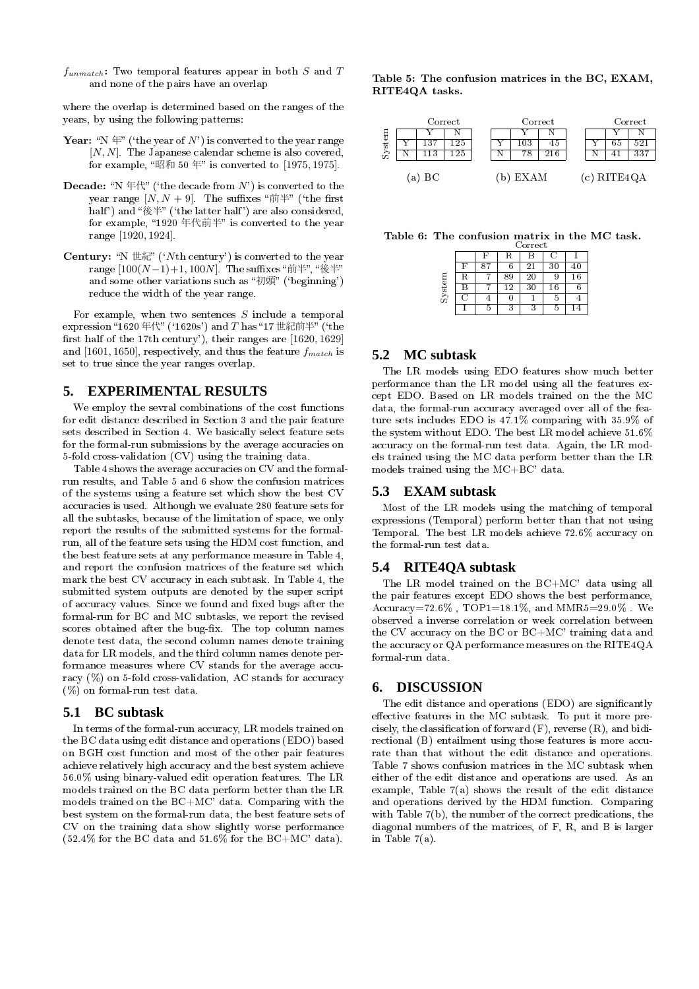*funmatch***:** Two temporal features appear in both *S* and *T* and none of the pairs have an overlap

where the overlap is determined based on the ranges of the years, by using the following patterns:

- **Year:** "N  $\notin$ " ('the year of N') is converted to the year range [*N, N*]. The Japanese calendar scheme is also covered. for example, 昭和 50 年 is converted to [1975*,* 1975].
- **Decade:** "N  $\#$  ("the decade from  $N$ ") is converted to the year range  $[N, N+9]$ . The suffixes " $\hat{\mathbb{H}}^*$ " ('the first half') and " $\mathcal{L}^{\#}$ " ('the latter half') are also considered, for example, "1920 年代前半" is converted to the year range [1920*,* 1924].
- **Century:** "N  $\# \# \mathbb{R}$ " ('*N*th century') is converted to the year range  $[100(N-1)+1, 100N]$ . The suffixes "前半", "後半" and some other variations such as "初頭" ('beginning') reduce the width of the year range.

For example, when two sentences *S* include a temporal expression "1620 年代" ('1620s') and *T* has "17 世紀前半" ('the first half of the 17th century'), their ranges are [1620, 1629] and [1601*,* 1650], respectively, and thus the feature *fmatch* is set to true since the year ranges overlap.

# **5. EXPERIMENTAL RESULTS**

We employ the sevral combinations of the cost functions for edit distance described in Section 3 and the pair feature sets described in Section 4. We basically select feature sets for the formal-run submissions by the average accuracies on 5-fold cross-validation (CV) using the training data.

Table 4 shows the average accuracies on CV and the formalrun results, and Table 5 and 6 show the confusion matrices of the systems using a feature set which show the best CV accuracies is used. Although we evaluate 280 feature sets for all the subtasks, because of the limitation of space, we only report the results of the submitted systems for the formalrun, all of the feature sets using the HDM cost function, and the best feature sets at any performance measure in Table 4, and report the confusion matrices of the feature set which mark the best CV accuracy in each subtask. In Table 4, the submitted system outputs are denoted by the super script of accuracy values. Since we found and fixed bugs after the formal-run for BC and MC subtasks, we report the revised scores obtained after the bug-fix. The top column names denote test data, the second column names denote training data for LR models, and the third column names denote performance measures where CV stands for the average accuracy  $(\%)$  on 5-fold cross-validation, AC stands for accuracy (%) on formal-run test data.

# **5.1 BC subtask**

In terms of the formal-run accuracy, LR models trained on the BC data using edit distance and operations (EDO) based on BGH cost function and most of the other pair features achieve relatively high accuracy and the best system achieve 56.0% using binary-valued edit operation features. The LR models trained on the BC data perform better than the LR models trained on the BC+MC' data. Comparing with the best system on the formal-run data, the best feature sets of CV on the training data show slightly worse performance (52.4% for the BC data and 51.6% for the BC+MC' data).

**Table 5: The confusion matrices in the BC, EXAM, RITE4QA tasks.**



**Table 6: The confusion matrix in the MC task.**

|        |     | Correct |   |    |        |             |  |  |  |  |  |  |  |
|--------|-----|---------|---|----|--------|-------------|--|--|--|--|--|--|--|
|        |     |         | R |    | 0      |             |  |  |  |  |  |  |  |
|        | F   |         |   | 21 | 30     | 40          |  |  |  |  |  |  |  |
|        |     |         |   | 20 |        | $^{\rm 16}$ |  |  |  |  |  |  |  |
| System |     |         |   | 30 | $16\,$ |             |  |  |  |  |  |  |  |
|        | - 1 |         |   |    | ۴      |             |  |  |  |  |  |  |  |
|        |     | h       |   |    | r      |             |  |  |  |  |  |  |  |

# **5.2 MC subtask**

The LR models using EDO features show much better performance than the LR model using all the features except EDO. Based on LR models trained on the the MC data, the formal-run accuracy averaged over all of the feature sets includes EDO is 47.1% comparing with 35.9% of the system without EDO. The best LR model achieve 51.6% accuracy on the formal-run test data. Again, the LR models trained using the MC data perform better than the LR models trained using the MC+BC' data.

## **5.3 EXAM subtask**

Most of the LR models using the matching of temporal expressions (Temporal) perform better than that not using Temporal. The best LR models achieve 72.6% accuracy on the formal-run test data.

## **5.4 RITE4QA subtask**

The LR model trained on the BC+MC' data using all the pair features except EDO shows the best performance,  $Accuracy=72.6\%$  ,  $TOP1=18.1\%$ , and  $MMR5=29.0\%$  . We observed a inverse correlation or week correlation between the CV accuracy on the BC or BC+MC' training data and the accuracy or QA performance measures on the RITE4QA formal-run data.

# **6. DISCUSSION**

The edit distance and operations (EDO) are significantly effective features in the MC subtask. To put it more precisely, the classification of forward  $(F)$ , reverse  $(R)$ , and bidirectional (B) entailment using those features is more accurate than that without the edit distance and operations. Table 7 shows confusion matrices in the MC subtask when either of the edit distance and operations are used. As an example, Table 7(a) shows the result of the edit distance and operations derived by the HDM function. Comparing with Table 7(b), the number of the correct predications, the diagonal numbers of the matrices, of F, R, and B is larger in Table  $7(a)$ .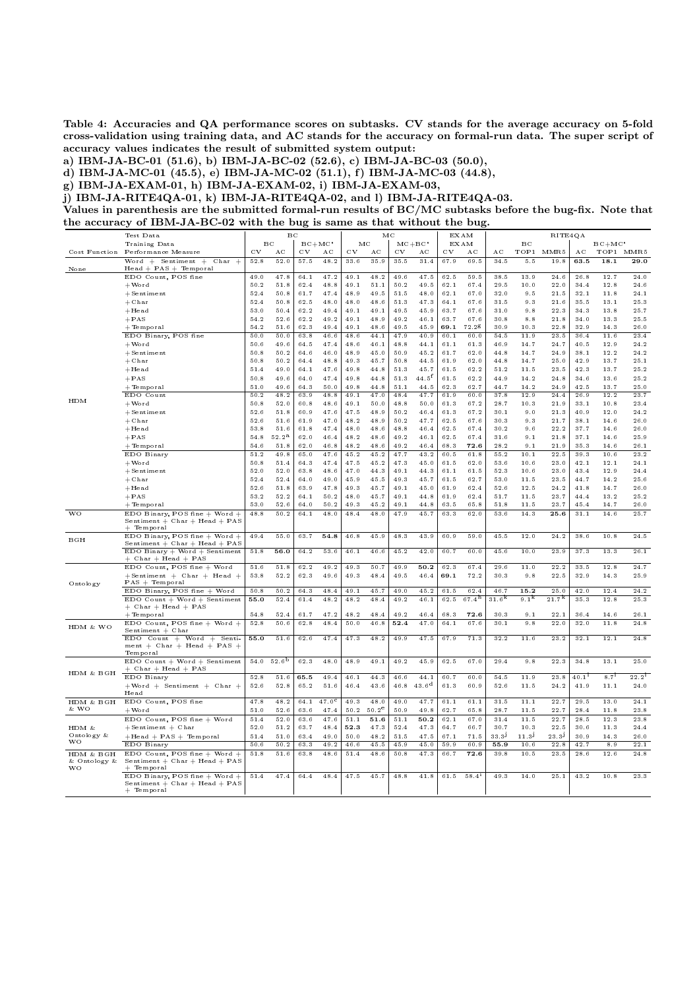**Table 4: Accuracies and QA performance scores on subtasks. CV stands for the average accuracy on 5-fold cross-validation using training data, and AC stands for the accuracy on formal-run data. The super script of accuracy values indicates the result of submitted system output:**

**a) IBM-JA-BC-01 (51.6), b) IBM-JA-BC-02 (52.6), c) IBM-JA-BC-03 (50.0),**

**d) IBM-JA-MC-01 (45.5), e) IBM-JA-MC-02 (51.1), f) IBM-JA-MC-03 (44.8),**

**g) IBM-JA-EXAM-01, h) IBM-JA-EXAM-02, i) IBM-JA-EXAM-03,**

**j) IBM-JA-RITE4QA-01, k) IBM-JA-RITE4QA-02, and l) IBM-JA-RITE4QA-03.**

**Values in parenthesis are the submitted formal-run results of BC/MC subtasks before the bug-fix. Note that the accuracy of IBM-JA-BC-02 with the bug is same as that without the bug.**

|                             | Test Data                           |          | вс             |              |                |      |                | МC                |                   |      | EXAM              |                   |                   | RITE4QA           |                   |           |            |
|-----------------------------|-------------------------------------|----------|----------------|--------------|----------------|------|----------------|-------------------|-------------------|------|-------------------|-------------------|-------------------|-------------------|-------------------|-----------|------------|
|                             | Training Data                       |          | $_{\rm BC}$    | $BC+MC$      |                |      | МC             | $MC + BC$<br>EXAM |                   |      |                   | вс                |                   |                   | $BC + MC'$        |           |            |
| Cost Function               | Performance Measure                 | C V      | $_{\rm AC}$    | $_{\rm{cv}}$ | AC             | C V  | $_{\rm AC}$    | CV                | AC                | CV   | AС                | AC                | TOP1              | MMR5              | AC                |           | TOP1 MMR5  |
|                             |                                     |          |                |              |                |      |                |                   |                   |      |                   |                   |                   |                   |                   |           |            |
|                             | Word $+$ Sentiment $+$ Char $+$     | 52.8     | 52.0           | 57.5         | 48.2           | 33.6 | 35.9           | 35.5              | 31.4              | 67.9 | 69.5              | 34.5              | 5.5               | 19.8              | 63.5              | 18.1      | 29.0       |
| None                        | Head + PAS + Temporal               |          |                |              |                |      |                |                   |                   |      |                   |                   |                   |                   |                   |           |            |
|                             | EDO Count, POS fine                 | 49.0     | 47.8           | 64.1         | 47.2           | 49.1 | 48.2           | 49.6              | 47.5              | 62.5 | 59.5              | 38.5              | 13.9              | 24.6              | 26.8              | 12.7      | 24.0       |
|                             | $+$ Word                            | 50.2     | 51.8           | 62.4         | 48.8           | 49.1 | 51.1           | 50.2              | 49.5              | 62.1 | 67.4              | 29.5              | 10.0              | 22.0              | 34.4              | 12.8      | 24.6       |
|                             |                                     |          |                |              |                |      |                |                   |                   |      |                   |                   |                   |                   |                   |           |            |
|                             | $+$ Sentiment                       | 52.4     | 50.8           | 61.7         | 47.4           | 48.9 | 49.5           | 51.5              | 48.0              | 62.1 | 67.0              | 32.0              | 9.5               | 21.5              | $3\,2.1$          | 11.8      | 24.1       |
|                             | $+{\scriptstyle\mbox{Char}}$        | 52.4     | 50.8           | 62.5         | 48.0           | 48.0 | 48.6           | 51.3              | 47.3              | 64.1 | 67.6              | 31.5              | 9.3               | 21.6              | 35.5              | 13.1      | 25.3       |
|                             | $+$ Head                            | 53.0     | 50.4           | 62.2         | 49.4           | 49 1 | 49.1           | 49.5              | 45.9              | 63.7 | 67.6              | 31.0              | 9.8               | 22.3              | 34.3              | 13.8      | 25.7       |
|                             |                                     |          |                |              |                |      |                |                   |                   |      |                   |                   |                   |                   |                   |           |            |
|                             | $+$ PAS                             | 54.2     | 52.6           | 62.2         | 49.2           | 49.1 | 48.9           | 49.2              | 46.1              | 63.7 | 67.6              | 30.8              | 8.8               | 21.8              | 34.0              | 13.3      | 25.5       |
|                             | $+$ Temporal                        | 54.2     | 51.6           | 62.3         | 49.4           | 49.1 | 48.6           | 49.5              | 45.9              | 69.1 | 72.28             | 30.9              | 10.3              | 22.8              | 32.9              | 14.3      | 26.0       |
|                             | EDO Binary, POS fine                | 50.0     | 50.0           | 63.8         | 46.6           | 48.6 | 44.1           | 47.9              | 40.9              | 60.1 | 60.0              | 54.5              | 11.9              | 23.5              | 36.4              | 11.6      | 23.4       |
|                             |                                     |          |                |              |                |      |                |                   |                   |      |                   |                   |                   |                   |                   |           |            |
|                             | $+$ Word                            | 50.6     | 49.6           | 64.5         | 47.4           | 48.6 | 46.1           | 48.8              | 44.1              | 61.1 | 61.3              | 46.9              | 14.7              | 24.7              | 40.5              | 12.9      | 24.2       |
|                             | $+$ Sentiment                       | 50.8     | 50.2           | 64.6         | 46.0           | 48.9 | 45.0           | 50.9              | 45.2              | 61.7 | 62.0              | 44.8              | 14.7              | 24.9              | 38.1              | 12.2      | 24.2       |
|                             | $+$ Char                            | 50.8     | 50.2           | 64.4         | 48.8           | 49.3 | 45.7           | 50.8              | 44.5              | 61.9 | 62.0              | 44.8              | 14.7              | 25.0              | 42.9              | 13.7      | 25.1       |
|                             |                                     |          |                |              |                |      |                |                   |                   |      |                   |                   |                   |                   |                   |           |            |
|                             | $+ \rm Head$                        | 51.4     | 49.0           | 64.1         | 47.6           | 49.8 | 44.8           | 51.3              | 45.7              | 61.5 | 62.2              | 51.2              | 11.5              | 23.5              | 42.3              | 13.7      | 25.2       |
|                             | $+$ PAS                             | 50.8     | 49.6           | 64.0         | 47.4           | 49.8 | 44.8           | 51.3              | $44.5^{\text{f}}$ | 61.5 | 62.2              | 44.9              | 14.2              | 24.8              | 34.6              | 13.6      | 25.2       |
|                             | $+$ Temp oral                       | 51.0     | 49.6           | 64.3         | 50.0           | 49.8 | 44.8           | 51.1              | $44.5\,$          | 62.3 | 62.7              | 44.7              | 14.2              | 24.9              | 42.5              | 13.7      | 25.0       |
|                             |                                     |          |                |              |                |      |                |                   |                   |      |                   |                   |                   |                   |                   |           |            |
| HDM                         | EDO Count                           | 50.2     | 48.2           | 63.9         | 48.8           | 49.1 | 47.0           | 48.4              | 47.7              | 61.9 | 60.0              | 37.8              | 12.9              | 24.4              | 26.9              | 12.2      | 23.7       |
|                             | $+$ Word                            | $50.8\,$ | 52.0           | 60.8         | 48.6           | 49.1 | 50.0           | 48.8              | 50.0              | 61.3 | 67.2              | 28.7              | 10.3              | 21.9              | 33.1              | 10.8      | 23.4       |
|                             | $+$ Sentiment                       | 52.6     | 51.8           | 60.9         | 47.6           | 47.5 | 48.9           | 50.2              | 46.4              | 61.3 | 67.2              | 30.1              | 9.0               | 21.3              | 40.9              | 12.0      | 24.2       |
|                             |                                     |          |                |              |                |      |                |                   |                   |      |                   |                   |                   |                   |                   |           |            |
|                             | $+$ Char                            | 52.6     | 51.6           | 61.9         | 47.0           | 48.2 | 48.9           | 50.2              | 47.7              | 62.5 | 67.6              | 30.3              | 9.3               | 21.7              | 38.1              | 14.6      | 26.0       |
|                             | $+$ Head                            | 53.8     | 51.6           | 61.8         | 47.4           | 48.0 | 48.6           | 48.8              | 46.4              | 62.5 | 67.4              | 30.2              | 9.6               | 22.2              | 37.7              | 14.6      | 26.0       |
|                             | $+$ PAS                             | 54.8     | $52.2^{\rm a}$ | 62.0         | 46.4           | 48.2 | 48.6           | 49.2              | 46.1              | 62.5 | 67.4              | 31.6              | 9.1               | 21.8              | 37.1              | 14.6      | 25.9       |
|                             |                                     |          |                |              |                |      |                |                   |                   |      |                   |                   |                   |                   |                   |           |            |
|                             | $+$ Temp oral                       | 54.6     | 51.8           | 62.0         | 46.8           | 48.2 | 48.6           | 49.2              | 46.4              | 68.3 | 72.6              | 28.2              | 9.1               | 21.9              | 35.3              | 14.6      | 26.1       |
|                             | EDO Binary                          | 51.2     | 49.8           | 65.0         | 47.6           | 45.2 | 45.2           | 47.7              | 43.2              | 60.5 | 61.8              | 55.2              | 10.1              | 22.5              | 39.3              | 10.6      | 23.2       |
|                             | $+$ Word                            | 50.8     | 51.4           | 64.3         | 47.4           | 47.5 | 45.2           | 47.3              | 45.0              | 61.5 | 62.0              | 53.6              | 10.6              | 23.0              | 42.1              | 12.1      | 24.1       |
|                             |                                     |          |                |              |                |      |                |                   |                   |      |                   |                   |                   |                   |                   |           |            |
|                             | $+$ Sentiment                       | 52.0     | 52.0           | 63.8         | 48.6           | 47.0 | 44.3           | 49.1              | 44.3              | 61.1 | 61.5              | 52.3              | 10.6              | 23.0              | 43.4              | 12.9      | 24.4       |
|                             | $+{\scriptstyle\mbox{Char}}$        | 52.4     | 52.4           | 64.0         | 49.0           | 45.9 | 45.5           | 49.3              | 45.7              | 61.5 | 62.7              | 53.0              | 11.5              | 23.5              | 44.7              | 14.2      | $25.6\,$   |
|                             | $+$ Head                            | 52.6     | 51.8           | 63.9         | 47.8           | 49.3 | 45.7           | 49.1              | 45.0              | 61.9 | 62.4              | 52.6              | 12.5              | 24.2              | 41.8              | 14.7      | 26.0       |
|                             |                                     |          |                |              |                |      |                | 49.1              |                   |      |                   |                   |                   |                   |                   | 13.2      | 25.2       |
|                             | $+$ PAS                             | 53.2     | 52.2           | 64.1         | 50.2           | 48.0 | 45.7           |                   | 44.8              | 61.9 | 62.4              | 51.7              | 11.5              | 23.7              | 44.4              |           |            |
|                             | $+$ Temp oral                       | 53.0     | 52.6           | 64.0         | 50.2           | 493  | 45.2           | 49.1              | 44.8              | 63.5 | 65.8              | 51.8              | 11.5              | 23.7              | 45.4              | 14.7      | 26.0       |
| <b>WO</b>                   | EDO Binary, POS fine + Word +       | 48.8     | 50.2           | 64.1         | 48.0           | 48.4 | 48.0           | 47.9              | 45.7              | 63.3 | 62.0              | 53.6              | 14.3              | 25.6              | 31.1              | 14.6      | 25.7       |
|                             | Sentiment $+$ Char $+$ Head $+$ PAS |          |                |              |                |      |                |                   |                   |      |                   |                   |                   |                   |                   |           |            |
|                             |                                     |          |                |              |                |      |                |                   |                   |      |                   |                   |                   |                   |                   |           |            |
|                             | † Temporal                          |          |                |              |                |      |                |                   |                   |      |                   |                   |                   |                   |                   |           |            |
| BGH                         | EDO Binary, POS fine $+$ Word $+$   | 49.4     | 55.0           | 63.7         | 54.8           | 46.8 | 45.9           | 48.3              | 43.9              | 60.9 | 59.0              | 45.5              | 12.0              | 24.2              | 38.6              | 10.8      | 24.5       |
|                             | Sentiment $+$ Char $+$ Head $+$ PAS |          |                |              |                |      |                |                   |                   |      |                   |                   |                   |                   |                   |           |            |
|                             | EDO Binary + Word + Sentiment       | 51.8     | 56.0           | 64.2         | 53.6           | 46.1 | 46.6           | 45.2              | 42.0              | 60.7 | 60.0              | 45.6              | 10.0              | 23.9              | 37.3              | 13.3      | 26.1       |
|                             | $+$ Char $+$ Head $+$ PAS           |          |                |              |                |      |                |                   |                   |      |                   |                   |                   |                   |                   |           |            |
|                             |                                     |          |                |              |                |      |                |                   |                   |      |                   |                   |                   |                   |                   |           |            |
|                             | EDO Count, POS fine + Word          | 51.6     | 51.8           | 62.2         | 49.2           | 49.3 | 50.7           | 49.9              | 50.2              | 62.3 | 67.4              | 29.6              | 11.0              | 22.2              | 33.5              | 12.8      | 24.7       |
|                             | $+$ Sentiment $+$ Char $+$ Head $+$ | 53.8     | 52.2           | 62.3         | 49.6           | 49.3 | 48.4           | 49.5              | 46.4              | 69.1 | 72.2              | 30.3              | 9.8               | 22.5              | 32.9              | 14.3      | 25.9       |
| Ontology                    | $PAS + Temporal$                    |          |                |              |                |      |                |                   |                   |      |                   |                   |                   |                   |                   |           |            |
|                             | EDO Binary, POS fine + Word         | 50.8     | 50.2           | 64.3         | 48.4           | 49.1 | 45.7           | 49.0              | 45.2              | 61.5 | 62.4              | 46.7              | 15.2              | 25.0              | 42.0              | 12.4      | 24.2       |
|                             |                                     |          |                |              |                |      |                |                   |                   |      |                   |                   |                   |                   |                   |           |            |
|                             | EDO Count + Word + Sentiment        | 55.0     | 52.4           | 61.4         | 48.2           | 48.2 | 48.4           | 49.2              | 46.1              | 62.5 | 67.4 <sup>h</sup> | 31.6 <sup>k</sup> | 9.1 <sup>k</sup>  | 21.7 <sup>k</sup> | 35.3              | 12.8      | 25.3       |
|                             | + Char + Head + PAS                 |          |                |              |                |      |                |                   |                   |      |                   |                   |                   |                   |                   |           |            |
|                             | $+$ Temp oral                       | 54.8     | 52.4           | 61.7         | 47.2           | 48.2 | 48.4           | 49.2              | 46.4              | 68.3 | 72.6              | 30.3              | 9.1               | 22.1              | 36.4              | 14.6      | 26.1       |
|                             |                                     |          |                |              |                |      |                |                   | 47.0              |      |                   |                   |                   |                   |                   |           |            |
| HDM & WO                    | EDO Count, POS fine + Word +        | 52.8     | 50.6           | 62.8         | 48.4           | 50.0 | 46.8           | 52.4              |                   | 64.1 | 67.6              | 30.1              | 9.8               | 22.0              | 32.0              | 11.8      | 24.8       |
|                             | Sentiment + Char                    |          |                |              |                |      |                |                   |                   |      |                   |                   |                   |                   |                   |           |            |
|                             | EDO $Count + Word + Senti$ -        | 55.0     | 51.6           | 62.6         | 47.4           | 47.3 | 48.2           | 49.9              | 47.5              | 67.9 | 71.3              | 32.2              | 11.6              | 23.2              | 32.1              | 12.1      | 24.8       |
|                             | ment + Char + Head + PAS +          |          |                |              |                |      |                |                   |                   |      |                   |                   |                   |                   |                   |           |            |
|                             | Temporal                            |          |                |              |                |      |                |                   |                   |      |                   |                   |                   |                   |                   |           |            |
|                             | $EDO$ $Count + Word + Sentiment$    | 54.0     | $52.6^{b}$     | 62.3         | 48.0           | 48.9 | 49.1           | 49.2              | 45.9              | 62.5 | 67.0              | 29.4              | 9.8               | 22.3              | 34.8              | 13.1      | 25.0       |
|                             |                                     |          |                |              |                |      |                |                   |                   |      |                   |                   |                   |                   |                   |           |            |
| $\mbox{HDM}$ & $\mbox{BGH}$ | + Char + Head + PAS                 |          |                |              |                |      |                |                   |                   |      |                   |                   |                   |                   |                   |           |            |
|                             | EDO Binary                          | 52.8     | 51.6           | 65.5         | 49.4           | 46.1 | 44.3           | 46.6              | 44.1              | 60.7 | 60.0              | 54.5              | 11.9              | 23.8              | 40.1 <sup>1</sup> | $8.7^{1}$ | $22.2^{1}$ |
|                             | $+$ Word $+$ Sentiment $+$ Char $+$ | 52.6     | 52.8           | 65.2         | 51.6           | 46.4 | 43.6           | 46.8              | $43.6^{\rm d}$    | 61.3 | 60.9              | 52.6              | 11.5              | 24.2              | 41.9              | 11.1      | 24.0       |
|                             | Head                                |          |                |              |                |      |                |                   |                   |      |                   |                   |                   |                   |                   |           |            |
|                             |                                     |          |                |              |                |      |                |                   |                   |      |                   |                   |                   |                   |                   |           |            |
| HDM & BGH                   | EDO Count, POS fine                 | 47.8     | 48.2           | 64.1         | $47.0^{\circ}$ | 49.3 | 48.0           | 49.0              | 47.7              | 61.1 | 61.1              | 31.5              | 11.1              | 22.7              | 29.5              | 13.0      | 24.1       |
| & WO                        | $+$ Word                            | 51.0     | 52.6           | 63.6         | 47.4           | 50.2 | $50.2^{\circ}$ | 50.9              | 49.8              | 62.7 | 65.8              | 28.7              | 11.5              | 22.7              | 28.4              | 11.8      | 23.8       |
|                             |                                     |          |                |              |                |      |                |                   |                   |      |                   |                   |                   |                   |                   |           |            |
|                             | EDO Count, POS fine + Word          | 51.4     | 52.0           | 63.6         | 47.6           | 51.1 | 51.6           | 51.1              | 50.2              | 62.1 | 67.0              | 31.4              | 11.5              | 22.7              | 28.5              | 12.3      | 23.8       |
| HDM $\&$                    | $+$ Sentiment $+$ Char              | 52.0     | 51.2           | 63.7         | 48.4           | 52.3 | 47.3           | 52.4              | 47.3              | 64.7 | 66.7              | 30.7              | 10.3              | 22.5              | 30.6              | 11.3      | 24.4       |
| Ontology &                  | $+$ Head $+$ PAS $+$ Temporal       | 51.4     | 51.0           | 63.4         | 49.0           | 50.0 | 48.2           | 51.5              | 47.5              | 67.1 | 71.5              | 33.31             | 11.3 <sup>J</sup> | 23.31             | 30.9              | 14.3      | 26.0       |
| WO                          | EDO Binary                          | 50.6     | 50.2           | 63.3         | 49.2           | 46.6 | 45.5           | 45.9              | 45.0              | 59.9 | 60.9              | 55.9              | 10.6              | 22.8              | 42.7              | 8.9       | 22.1       |
|                             |                                     |          |                |              |                |      |                |                   |                   |      |                   |                   |                   |                   |                   |           |            |
| HDM & BGH                   | EDO Count, POS fine $+$ Word $+$    | 51.8     | 51.6           | 63.8         | 48.6           | 51.4 | 48.6           | 50.8              | 47.3              | 66.7 | 72.6              | 39.8              | 10.5              | 23.5              | 28.6              | 12.6      | 24.8       |
| & Ontology &                | $Sentiment + Char + Head + PAS$     |          |                |              |                |      |                |                   |                   |      |                   |                   |                   |                   |                   |           |            |
| WO                          | + Temporal                          |          |                |              |                |      |                |                   |                   |      |                   |                   |                   |                   |                   |           |            |
|                             | EDO Binary, POS fine + Word +       | 51.4     | 47.4           | 64.4         | 48.4           | 47.5 | 45.7           | 48.8              | 41.8              | 61.5 | 58.4              | 49.3              | 14.0              | 25.1              | 43.2              | 10.8      | 23.3       |
|                             |                                     |          |                |              |                |      |                |                   |                   |      |                   |                   |                   |                   |                   |           |            |
|                             | Sentiment + Char + Head + PAS       |          |                |              |                |      |                |                   |                   |      |                   |                   |                   |                   |                   |           |            |
|                             | $+$ Temporal                        |          |                |              |                |      |                |                   |                   |      |                   |                   |                   |                   |                   |           |            |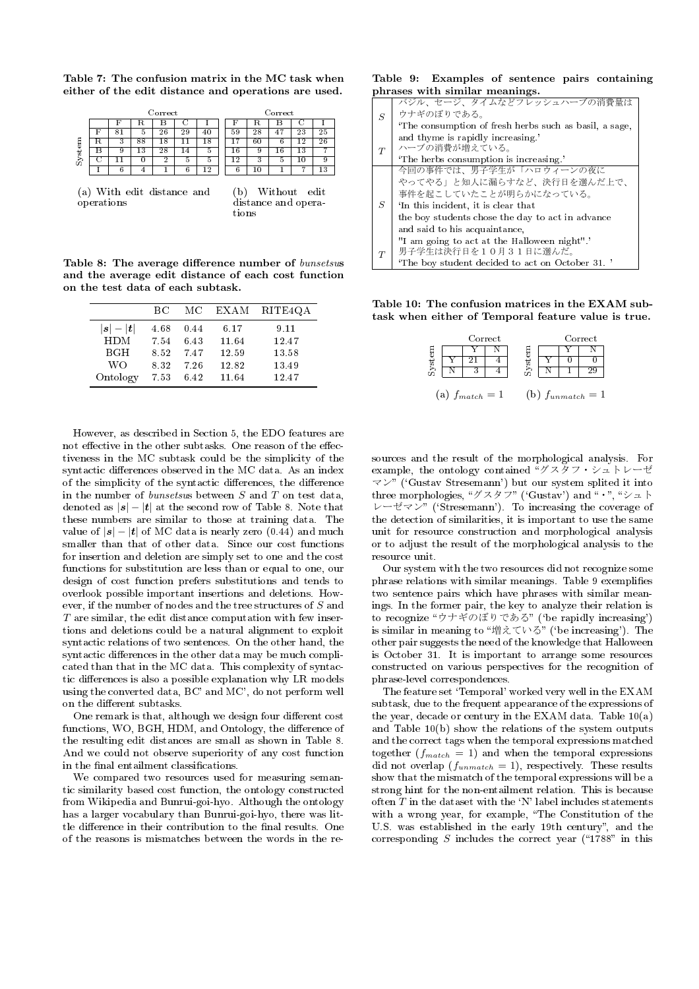**Table 7: The confusion matrix in the MC task when either of the edit distance and operations are used.**

|        |   |                 | Correct |    |    |    |         | Correct |    |    |
|--------|---|-----------------|---------|----|----|----|---------|---------|----|----|
|        | Е | R               | Η       |    |    |    | к.      | В       |    |    |
|        |   | Ð               | 2<br>26 | 29 |    | 59 | റ<br>40 |         | 23 | 25 |
|        | 3 | $\overline{88}$ | 8       |    | 18 |    | 60      | 6       | £. | 26 |
| System | y | 13              | 28      |    |    | 16 | 9       | 16      | 13 | −  |
|        |   | U               | ച<br>▵  | Ð  | n  | ാ  | З       | h       | 10 | 9  |
|        |   |                 |         |    | -9 |    | -0      |         |    | 13 |
|        |   |                 |         |    |    |    |         |         |    |    |

| (a) With edit distance and | (b) Without edit    |
|----------------------------|---------------------|
| operations                 | distance and opera- |
|                            | tions               |

**Table 8: The average difference number of** *bunsetsu***s and the average edit distance of each cost function on the test data of each subtask.**

|                       | ВC   | MС   | EXAM  | RITE4QA |
|-----------------------|------|------|-------|---------|
| $ \bm{s}  -  \bm{t} $ | 4.68 | 0.44 | 6.17  | 9.11    |
| <b>HDM</b>            | 7.54 | 6.43 | 11.64 | 12.47   |
| <b>BGH</b>            | 8.52 | 747  | 12.59 | 13.58   |
| WΟ                    | 8.32 | 7.26 | 12.82 | 13.49   |
| Ontology              | 7.53 | 6.42 | 11.64 | 12.47   |

However, as described in Section 5, the EDO features are not effective in the other subtasks. One reason of the effectiveness in the MC subtask could be the simplicity of the syntactic differences observed in the MC data. As an index of the simplicity of the syntactic differences, the difference in the number of *bunsetsu*s between *S* and *T* on test data, denoted as  $|\mathbf{s}| - |\mathbf{t}|$  at the second row of Table 8. Note that these numbers are similar to those at training data. The value of  $|\mathbf{s}| - |\mathbf{t}|$  of MC data is nearly zero (0.44) and much smaller than that of other data. Since our cost functions for insertion and deletion are simply set to one and the cost functions for substitution are less than or equal to one, our design of cost function prefers substitutions and tends to overlook possible important insertions and deletions. However, if the number of nodes and the tree structures of *S* and *T* are similar, the edit distance computation with few insertions and deletions could be a natural alignment to exploit syntactic relations of two sentences. On the other hand, the syntactic differences in the other data may be much complicated than that in the MC data. This complexity of syntactic differences is also a possible explanation why LR models using the converted data, BC' and MC', do not perform well on the different subtasks.

One remark is that, although we design four different cost functions, WO, BGH, HDM, and Ontology, the difference of the resulting edit distances are small as shown in Table 8. And we could not observe superiority of any cost function in the final entailment classifications.

We compared two resources used for measuring semantic similarity based cost function, the ontology constructed from Wikipedia and Bunrui-goi-hyo. Although the ontology has a larger vocabulary than Bunrui-goi-hyo, there was little difference in their contribution to the final results. One of the reasons is mismatches between the words in the re-

**Table 9: Examples of sentence pairs containing phrases with similar meanings.**

|   | バジル、セージ、タイムなどフレッシュハーブの消費量は                            |
|---|-------------------------------------------------------|
| S | ウナギのぼりである。                                            |
|   | The consumption of fresh herbs such as basil, a sage, |
|   | and thyme is rapidly increasing.                      |
| T | ハーブの消費が増えている。                                         |
|   | 'The herbs consumption is increasing.'                |
|   | 今回の事件では、男子学生が「ハロウィーンの夜に                               |
|   | やってやる」と知人に漏らすなど、決行日を選んだ上で、                            |
|   | 事件を起こしていたことが明らかになっている。                                |
| S | In this incident, it is clear that                    |
|   | the boy students chose the day to act in advance      |
|   | and said to his acquaintance,                         |
|   | "I am going to act at the Halloween night"."          |
| T | 男子学生は決行日を10月31日に選んだ。                                  |
|   | The boy student decided to act on October 31.         |

**Table 10: The confusion matrices in the EXAM subtask when either of Temporal feature value is true.**

|        | Correct             |        |  | Correct               |  |
|--------|---------------------|--------|--|-----------------------|--|
|        |                     |        |  |                       |  |
| System |                     | System |  |                       |  |
|        |                     |        |  |                       |  |
|        | (a) $f_{match} = 1$ |        |  | (b) $f_{unmatch} = 1$ |  |

sources and the result of the morphological analysis. For example, the ontology contained グスタフ・シュトレーゼ  $\forall$  ('Gustav Stresemann') but our system splited it into three morphologies, "グスタフ" ('Gustav') and  $\cdots$ , "シュト  $\nu$ –ゼマン" ('Stresemann'). To increasing the coverage of the detection of similarities, it is important to use the same unit for resource construction and morphological analysis or to adjust the result of the morphological analysis to the resource unit.

Our system with the two resources did not recognize some phrase relations with similar meanings. Table 9 exemplifies two sentence pairs which have phrases with similar meanings. In the former pair, the key to analyze their relation is to recognize "ウナギのぼりである" ('be rapidly increasing') is similar in meaning to "増えている" ('be increasing'). The other pair suggests the need of the knowledge that Halloween is October 31. It is important to arrange some resources constructed on various perspectives for the recognition of phrase-level correspondences.

The feature set 'Temporal' worked very well in the EXAM subtask, due to the frequent appearance of the expressions of the year, decade or century in the EXAM data. Table 10(a) and Table 10(b) show the relations of the system outputs and the correct tags when the temporal expressions matched together  $(f_{match} = 1)$  and when the temporal expressions did not overlap  $(f_{unmatch} = 1)$ , respectively. These results show that the mismatch of the temporal expressions will be a strong hint for the non-entailment relation. This is because often  $T$  in the dataset with the 'N' label includes statements with a wrong year, for example, "The Constitution of the U.S. was established in the early 19th century", and the corresponding  $S$  includes the correct year ("1788" in this